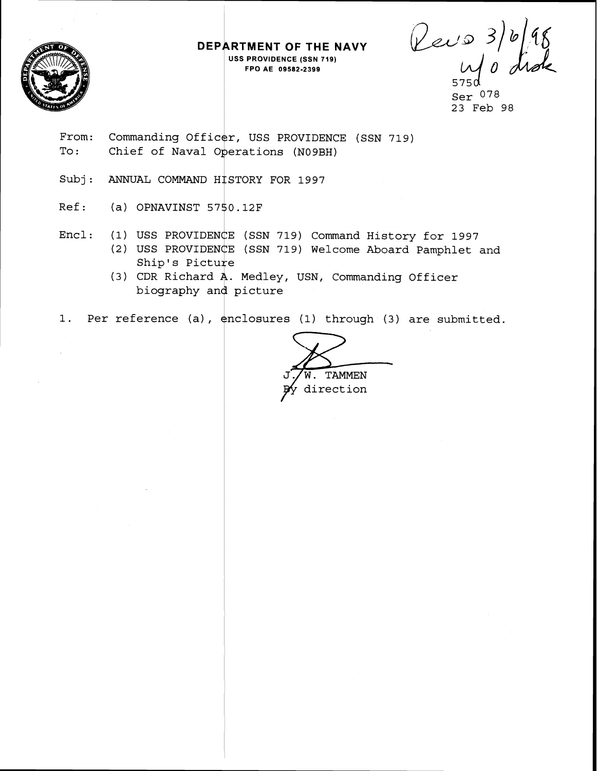

**DEPARTMENT OF THE NAVY USS PROVIDENCE (SSN 719) FPO AE 09582-2399** 

Rev 0 3) 6/98<br>Wo dide

Ser 078 23 Feb 98

- From: Commanding Officer, USS PROVIDENCE (SSN 719) To: Chief of Naval Operations (N09BH)
- Subj: ANNUAL COMMAND HISTORY FOR 1997
- Ref: (a) OPNAVINST 57\$0.12F
- Encl: (1) USS PROVIDENCE (SSN 719) Command History for 1997
	- (2) USS PROVIDENCE (SSN 719) Welcome Aboard Pamphlet and Ship's Picture
	- (3) CDR Richard  $A$ . Medley, USN, Commanding Officer USS PROVIDENCE (SSN 719<br>USS PROVIDENCE (SSN 719<br>Ship's Picture<br>CDR Richard A. Medley,<br>biography and picture
- 1. Per reference (a), enclosures (1) through (3) are submitted.

W. TAMMEN<br>direction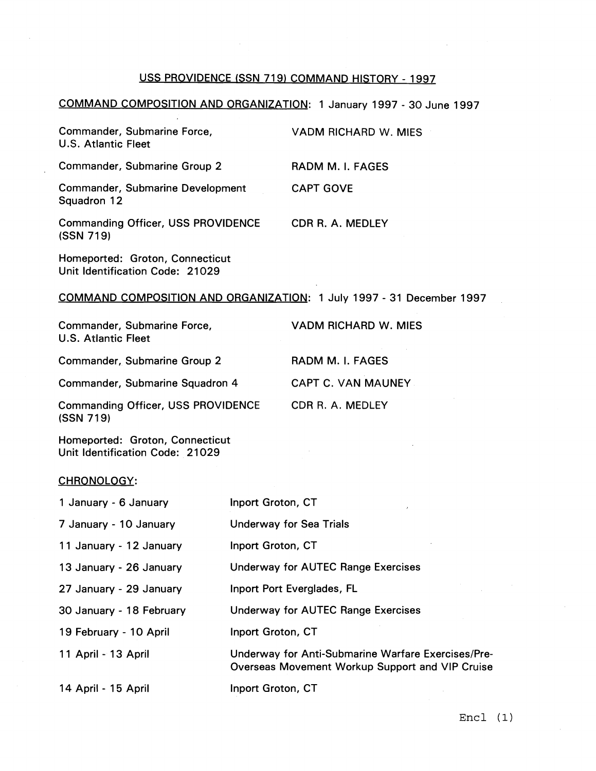# USS PROVIDENCE (SSN **719)** COMMAND HISTORY - **1997**

#### COMMAND COMPOSITION AND ORGANIZATION: **1** January **1997** - **30** June **1997**

|                                                                      | USS PROVIDENCE (SSN 719) COMMAND HISTORY - 1997 |
|----------------------------------------------------------------------|-------------------------------------------------|
| COMMAND COMPOSITION AND ORGANIZATION: 1 January 1997 - 30 June 1997  |                                                 |
| Commander, Submarine Force,<br><b>U.S. Atlantic Fleet</b>            | VADM RICHARD W. MIES                            |
| <b>Commander, Submarine Group 2</b>                                  | RADM M. I. FAGES                                |
| <b>Commander, Submarine Development</b><br>Squadron 12               | <b>CAPT GOVE</b>                                |
| <b>Commanding Officer, USS PROVIDENCE</b><br>(SSN 719)               | CDR R. A. MEDLEY                                |
| Homeported: Groton, Connecticut<br>Unit Identification Code: 21029   |                                                 |
| COMMAND COMPOSITION AND ORGANIZATION: 1 July 1997 - 31 December 1997 |                                                 |
| Commander, Submarine Force,<br><b>U.S. Atlantic Fleet</b>            | VADM RICHARD W. MIES                            |
| Commander, Submarine Group 2                                         | RADM M. I. FAGES                                |
| Commander, Submarine Squadron 4                                      | <b>CAPT C. VAN MAUNEY</b>                       |
| <b>Commanding Officer, USS PROVIDENCE</b><br>(SSN 719)               | CDR R. A. MEDLEY                                |
| Homeported: Groton, Connecticut<br>Unit Identification Code: 21029   |                                                 |

# **<sup>1</sup>**July **1997** - **31** December **1997**

| Commander, Submarine Force,<br>U.S. Atlantic Fleet |                                           | VADM RICHARD W. MIES      |
|----------------------------------------------------|-------------------------------------------|---------------------------|
| Commander, Submarine Group 2                       |                                           | RADM M. I. FAGES          |
|                                                    | Commander, Submarine Squadron 4           | <b>CAPT C. VAN MAUNEY</b> |
| (SSN 719)                                          | <b>Commanding Officer, USS PROVIDENCE</b> | CDR R. A. MEDLEY          |

#### CHRONOLOGY:

| 1 January - 6 January    | Inport Groton, CT                                                                                     |
|--------------------------|-------------------------------------------------------------------------------------------------------|
| 7 January - 10 January   | <b>Underway for Sea Trials</b>                                                                        |
| 11 January - 12 January  | Inport Groton, CT                                                                                     |
| 13 January - 26 January  | Underway for AUTEC Range Exercises                                                                    |
| 27 January - 29 January  | Inport Port Everglades, FL                                                                            |
| 30 January - 18 February | Underway for AUTEC Range Exercises                                                                    |
| 19 February - 10 April   | Inport Groton, CT                                                                                     |
| 11 April - 13 April      | Underway for Anti-Submarine Warfare Exercises/Pre-<br>Overseas Movement Workup Support and VIP Cruise |
| 14 April - 15 April      | Inport Groton, CT                                                                                     |